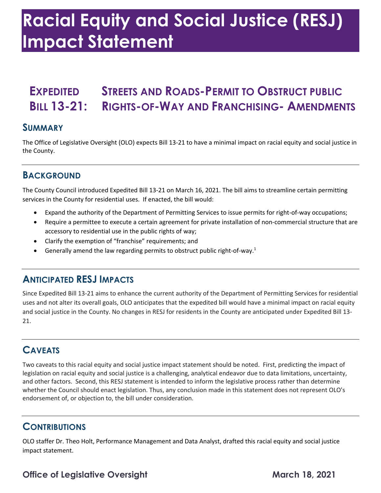# **Racial Equity and Social Justice (RESJ) Impact Statement**

# **EXPEDITED STREETS AND ROADS-PERMIT TO OBSTRUCT PUBLIC BILL 13-21: RIGHTS-OF-WAY AND FRANCHISING- AMENDMENTS**

#### **SUMMARY**

 The Office of Legislative Oversight (OLO) expects Bill 13-21 to have a minimal impact on racial equity and social justice in the County.

## **BACKGROUND**

 The County Council introduced Expedited Bill 13-21 on March 16, 2021. The bill aims to streamline certain permitting services in the County for residential uses. If enacted, the bill would:

- Expand the authority of the Department of Permitting Services to issue permits for right-of-way occupations;
- • Require a permittee to execute a certain agreement for private installation of non-commercial structure that are accessory to residential use in the public rights of way;
- Clarify the exemption of "franchise" requirements; and
- Generally amend the law regarding permits to obstruct public right-of-way.<sup>1</sup>

#### **ANTICIPATED RESJ IMPACTS**

 Since Expedited Bill 13-21 aims to enhance the current authority of the Department of Permitting Services for residential uses and not alter its overall goals, OLO anticipates that the expedited bill would have a minimal impact on racial equity and social justice in the County. No changes in RESJ for residents in the County are anticipated under Expedited Bill 13- 21.

#### **CAVEATS**

 Two caveats to this racial equity and social justice impact statement should be noted. First, predicting the impact of and other factors. Second, this RESJ statement is intended to inform the legislative process rather than determine whether the Council should enact legislation. Thus, any conclusion made in this statement does not represent OLO's endorsement of, or objection to, the bill under consideration. legislation on racial equity and social justice is a challenging, analytical endeavor due to data limitations, uncertainty,

#### **CONTRIBUTIONS**

 OLO staffer Dr. Theo Holt, Performance Management and Data Analyst, drafted this racial equity and social justice impact statement.

## **Office of Legislative Oversight March 18, 2021**